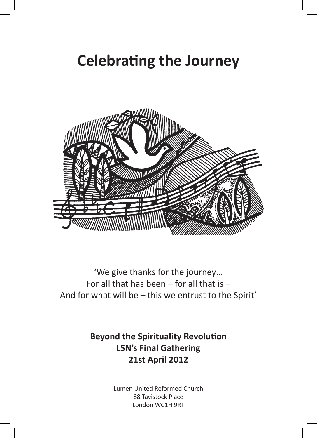# **Celebrating the Journey**



'We give thanks for the journey… For all that has been  $-$  for all that is  $-$ And for what will be – this we entrust to the Spirit'

> **Beyond the Spirituality Revolution LSN's Final Gathering 21st April 2012**

> > Lumen United Reformed Church 88 Tavistock Place London WC1H 9RT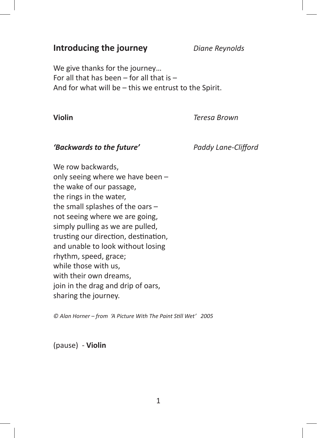### **Introducing the journey** *Diane Reynolds*

We give thanks for the journey… For all that has been  $-$  for all that is  $-$ And for what will be – this we entrust to the Spirit.

**Violin** *Teresa Brown*

#### *'Backwards to the future' Paddy Lane-Clifford*

We row backwards, only seeing where we have been – the wake of our passage, the rings in the water, the small splashes of the oars – not seeing where we are going, simply pulling as we are pulled, trusting our direction, destination, and unable to look without losing rhythm, speed, grace; while those with us, with their own dreams, join in the drag and drip of oars, sharing the journey.

*© Alan Horner – from 'A Picture With The Paint Still Wet' 2005*

(pause) - **Violin**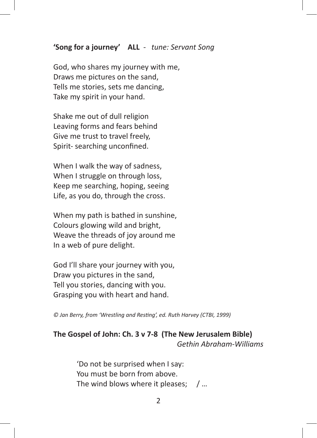#### **'Song for a journey' ALL** - *tune: Servant Song*

God, who shares my journey with me, Draws me pictures on the sand, Tells me stories, sets me dancing, Take my spirit in your hand.

Shake me out of dull religion Leaving forms and fears behind Give me trust to travel freely, Spirit- searching unconfined.

When I walk the way of sadness, When I struggle on through loss, Keep me searching, hoping, seeing Life, as you do, through the cross.

When my path is bathed in sunshine, Colours glowing wild and bright, Weave the threads of joy around me In a web of pure delight.

God I'll share your journey with you, Draw you pictures in the sand, Tell you stories, dancing with you. Grasping you with heart and hand.

*© Jan Berry, from 'Wrestling and Resting', ed. Ruth Harvey (CTBI, 1999)* 

#### **The Gospel of John: Ch. 3 v 7-8 (The New Jerusalem Bible)**  *Gethin Abraham-Williams*

'Do not be surprised when I say: You must be born from above. The wind blows where it pleases; / ...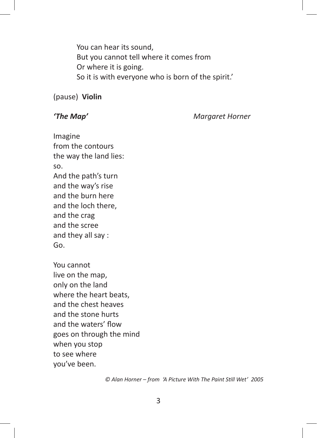You can hear its sound, But you cannot tell where it comes from Or where it is going. So it is with everyone who is born of the spirit.'

#### (pause) **Violin**

*'The Map' Margaret Horner*

Imagine from the contours the way the land lies: so. And the path's turn and the way's rise and the burn here and the loch there, and the crag and the scree and they all say : Go.

You cannot live on the map, only on the land where the heart beats, and the chest heaves and the stone hurts and the waters' flow goes on through the mind when you stop to see where you've been.

*© Alan Horner – from 'A Picture With The Paint Still Wet' 2005*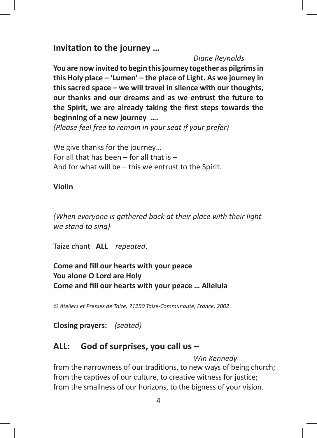**Invitation to the journey …**

#### *Diane Reynolds*

**You are now invited to begin this journey together as pilgrims in this Holy place – 'Lumen' – the place of Light. As we journey in this sacred space – we will travel in silence with our thoughts, our thanks and our dreams and as we entrust the future to the Spirit, we are already taking the first steps towards the beginning of a new journey ….**

*(Please feel free to remain in your seat if your prefer)* 

We give thanks for the journey… For all that has been  $-$  for all that is  $-$ And for what will be – this we entrust to the Spirit.

#### **Violin**

*(When everyone is gathered back at their place with their light we stand to sing)* 

Taize chant **ALL** *repeated*.

### **Come and fill our hearts with your peace You alone O Lord are Holy Come and fill our hearts with your peace … Alleluia**

*© Ateliers et Presses de Taize, 71250 Taize-Communaute, France, 2002* 

**Closing prayers:** *(seated)*

## **ALL: God of surprises, you call us –**

*Win Kennedy*

from the narrowness of our traditions, to new ways of being church; from the captives of our culture, to creative witness for justice; from the smallness of our horizons, to the bigness of your vision.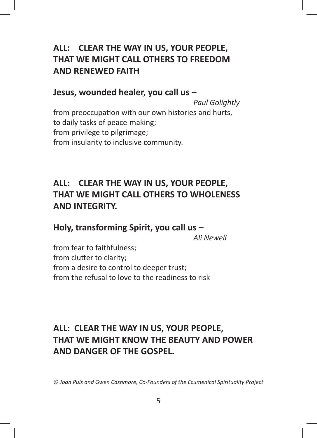# **ALL: CLEAR THE WAY IN US, YOUR PEOPLE, THAT WE MIGHT CALL OTHERS TO FREEDOM AND RENEWED FAITH**

**Jesus, wounded healer, you call us –** 

*Paul Golightly* from preoccupation with our own histories and hurts, to daily tasks of peace-making; from privilege to pilgrimage; from insularity to inclusive community.

# **ALL: CLEAR THE WAY IN US, YOUR PEOPLE, THAT WE MIGHT CALL OTHERS TO WHOLENESS AND INTEGRITY.**

**Holy, transforming Spirit, you call us –**

*Ali Newell*

from fear to faithfulness; from clutter to clarity; from a desire to control to deeper trust; from the refusal to love to the readiness to risk

# **ALL: CLEAR THE WAY IN US, YOUR PEOPLE, THAT WE MIGHT KNOW THE BEAUTY AND POWER AND DANGER OF THE GOSPEL.**

*© Joan Puls and Gwen Cashmore, Co-Founders of the Ecumenical Spirituality Project*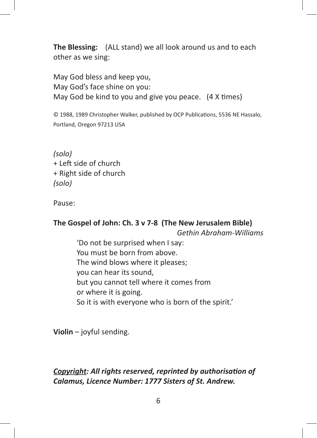**The Blessing:** (ALL stand) we all look around us and to each other as we sing:

May God bless and keep you, May God's face shine on you: May God be kind to you and give you peace. (4 X times)

© 1988, 1989 Christopher Walker, published by OCP Publications, 5536 NE Hassalo, Portland, Oregon 97213 USA

*(solo)* + Left side of church + Right side of church *(solo)* 

Pause:

# **The Gospel of John: Ch. 3 v 7-8 (The New Jerusalem Bible)**

 *Gethin Abraham-Williams*

'Do not be surprised when I say: You must be born from above. The wind blows where it pleases; you can hear its sound, but you cannot tell where it comes from or where it is going. So it is with everyone who is born of the spirit.'

**Violin** – joyful sending.

### *Copyright: All rights reserved, reprinted by authorisation of Calamus, Licence Number: 1777 Sisters of St. Andrew.*